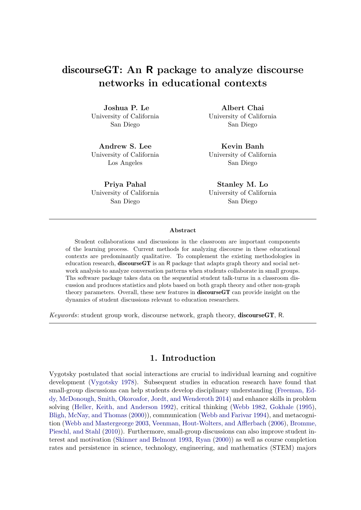# discourseGT: An R package to analyze discourse networks in educational contexts

Joshua P. Le University of California San Diego

Andrew S. Lee University of California Los Angeles

Priya Pahal University of California San Diego

Albert Chai University of California San Diego

Kevin Banh University of California San Diego

Stanley M. Lo University of California San Diego

#### Abstract

Student collaborations and discussions in the classroom are important components of the learning process. Current methods for analyzing discourse in these educational contexts are predominantly qualitative. To complement the existing methodologies in education research, discourseGT is an R package that adapts graph theory and social network analysis to analyze conversation patterns when students collaborate in small groups. Ths software package takes data on the sequential student talk-turns in a classroom discussion and produces statistics and plots based on both graph theory and other non-graph theory parameters. Overall, these new features in discourseGT can provide insight on the dynamics of student discussions relevant to education researchers.

Keywords: student group work, discourse network, graph theory, discourseGT, R.

### 1. Introduction

Vygotsky postulated that social interactions are crucial to individual learning and cognitive development [\(Vygotsky](#page-32-0) [1978\)](#page-32-0). Subsequent studies in education research have found that small-group discussions can help students develop disciplinary understanding [\(Freeman, Ed](#page-29-0)[dy, McDonough, Smith, Okoroafor, Jordt, and Wenderoth](#page-29-0) [2014\)](#page-29-0) and enhance skills in problem solving [\(Heller, Keith, and Anderson](#page-30-0) [1992\)](#page-30-0), critical thinking [\(Webb](#page-33-0) [1982,](#page-33-0) [Gokhale](#page-30-1) [\(1995\)](#page-30-1), [Bligh, McNay, and Thomas](#page-28-0) [\(2000\)](#page-28-0)), communication [\(Webb and Farivar](#page-33-1) [1994\)](#page-33-1), and metacognition [\(Webb and Mastergeorge](#page-33-2) [2003,](#page-33-2) [Veenman, Hout-Wolters, and Afflerbach](#page-32-1) [\(2006\)](#page-32-1), [Bromme,](#page-28-1) [Pieschl, and Stahl](#page-28-1) [\(2010\)](#page-28-1)). Furthermore, small-group discussions can also improve student interest and motivation [\(Skinner and Belmont](#page-32-2) [1993,](#page-32-2) [Ryan](#page-31-0) [\(2000\)](#page-31-0)) as well as course completion rates and persistence in science, technology, engineering, and mathematics (STEM) majors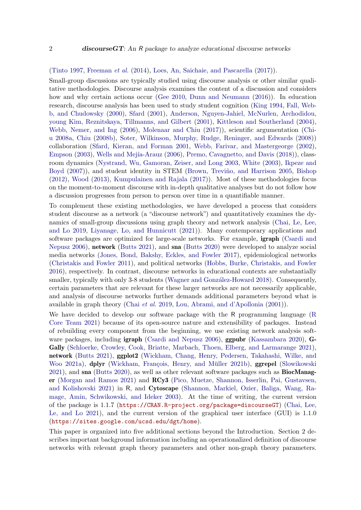#### [\(Tinto](#page-32-3) [1997,](#page-32-3) [Freeman](#page-29-0) et al. [\(2014\)](#page-29-0), [Loes, An, Saichaie, and Pascarella](#page-31-1) [\(2017\)](#page-31-1)).

Small-group discussions are typically studied using discourse analysis or other similar qualitative methodologies. Discourse analysis examines the content of a discussion and considers how and why certain actions occur [\(Gee](#page-29-1) [2010,](#page-29-1) [Dunn and Neumann](#page-29-2) [\(2016\)](#page-29-2)). In education research, discourse analysis has been used to study student cognition [\(King](#page-30-2) [1994,](#page-30-2) [Fall, Web](#page-29-3)[b, and Chudowsky](#page-29-3) [\(2000\)](#page-29-3), [Sfard](#page-32-4) [\(2001\)](#page-32-4), [Anderson, Nguyen-Jahiel, McNurlen, Archodidou,](#page-28-2) [young Kim, Reznitskaya, Tillmanns, and Gilbert](#page-28-2) [\(2001\)](#page-28-2), [Kittleson and Southerland](#page-30-3) [\(2004\)](#page-30-3), [Webb, Nemer, and Ing](#page-33-3) [\(2006\)](#page-33-3), [Molenaar and Chiu](#page-31-2) [\(2017\)](#page-31-2)), scientific argumentation [\(Chi](#page-29-4)[u](#page-29-4) [2008a,](#page-29-4) [Chiu](#page-29-5) [\(2008b\)](#page-29-5), [Soter, Wilkinson, Murphy, Rudge, Reninger, and Edwards](#page-32-5) [\(2008\)](#page-32-5)) collaboration [\(Sfard, Kieran, and Forman](#page-32-6) [2001,](#page-32-6) [Webb, Farivar, and Mastergeorge](#page-33-4) [\(2002\)](#page-33-4), [Empson](#page-29-6) [\(2003\)](#page-29-6), Wells and Mejía-Arauz [\(2006\)](#page-33-5), [Premo, Cavagnetto, and Davis](#page-31-3) [\(2018\)](#page-31-3)), classroom dynamics [\(Nystrand, Wu, Gamoran, Zeiser, and Long](#page-31-4) [2003,](#page-31-4) [White](#page-33-6) [\(2003\)](#page-33-6), [Ikpeze and](#page-30-4) [Boyd](#page-30-4) [\(2007\)](#page-30-4)), and student identity in STEM (Brown, Treviño, and Harrison [2005,](#page-28-3) [Bishop](#page-28-4) [\(2012\)](#page-28-4), [Wood](#page-33-7) [\(2013\)](#page-33-7), [Kumpulainen and Rajala](#page-30-5) [\(2017\)](#page-30-5)). Most of these methodologies focus on the moment-to-moment discourse with in-depth qualitative analyses but do not follow how a discussion progresses from person to person over time in a quantifiable manner.

To complement these existing methodologies, we have developed a process that considers student discourse as a network (a "discourse network") and quantitatively examines the dynamics of small-group discussions using graph theory and network analysis [\(Chai, Le, Lee,](#page-29-7) [and Lo](#page-29-7) [2019,](#page-29-7) [Liyanage, Lo, and Hunnicutt](#page-31-5) [\(2021\)](#page-31-5)). Many contemporary applications and software packages are optimized for large-scale networks. For example, **igraph** [\(Csardi and](#page-29-8) [Nepusz](#page-29-8) [2006\)](#page-29-8), network [\(Butts](#page-29-9) [2021\)](#page-29-9), and sna [\(Butts](#page-28-5) [2020\)](#page-28-5) were developed to analyze social media networks [\(Jones, Bond, Bakshy, Eckles, and Fowler](#page-30-6) [2017\)](#page-30-6), epidemiological networks [\(Christakis and Fowler](#page-29-10) [2011\)](#page-29-10), and political networks [\(Hobbs, Burke, Christakis, and Fowler](#page-30-7) [2016\)](#page-30-7), respectively. In contrast, discourse networks in educational contexts are substantially smaller, typically with only 3-8 students (Wagner and González-Howard [2018\)](#page-32-7). Consequently, certain parameters that are relevant for these larger networks are not necessarily applicable, and analysis of discourse networks further demands additional parameters beyond what is available in graph theory (Chai [et al.](#page-29-7) [2019,](#page-29-7) [Lou, Abrami, and d'Apollonia](#page-31-6) [\(2001\)](#page-31-6)).

We have decided to develop our software package with the R programming language [\(R](#page-31-7) [Core Team](#page-31-7) [2021\)](#page-31-7) because of its open-source nature and extensibility of packages. Instead of rebuilding every component from the beginning, we use existing network analysis software packages, including **igraph** [\(Csardi and Nepusz](#page-29-8) [2006\)](#page-29-8), **ggpubr** [\(Kassambara](#page-30-8) [2020\)](#page-30-8), **G**-Gally [\(Schloerke, Crowley, Cook, Briatte, Marbach, Thoen, Elberg, and Larmarange](#page-32-8) [2021\)](#page-32-8), network [\(Butts](#page-29-9) [2021\)](#page-29-9), ggplot2 [\(Wickham, Chang, Henry, Pedersen, Takahashi, Wilke, and](#page-33-8) [Woo](#page-33-8) [2021a\)](#page-33-8), **dplyr** (Wickham, François, Henry, and Müller [2021b\)](#page-33-9), **ggrepel** [\(Slowikowski](#page-32-9) [2021\)](#page-32-9), and sna [\(Butts](#page-28-5) [2020\)](#page-28-5), as well as other relevant software packages such as **BiocManag**er [\(Morgan and Ramos](#page-31-8) [2021\)](#page-31-8) and RCy3 [\(Pico, Muetze, Shannon, Isserlin, Pai, Gustavsen,](#page-31-9) [and Kolishovski](#page-31-9) [2021\)](#page-31-9) in R, and Cytoscape [\(Shannon, Markiel, Ozier, Baliga, Wang, Ra](#page-32-10)[mage, Amin, Schwikowski, and Ideker](#page-32-10) [2003\)](#page-32-10). At the time of writing, the current version of the package is 1.1.7 (<https://CRAN.R-project.org/package=discourseGT>) [\(Chai, Lee,](#page-29-11) [Le, and Lo](#page-29-11) [2021\)](#page-29-11), and the current version of the graphical user interface (GUI) is 1.1.0 (<https://sites.google.com/ucsd.edu/dgt/home>).

This paper is organized into five additional sections beyond the Introduction. Section 2 describes important background information including an operationalized definition of discourse networks with relevant graph theory parameters and other non-graph theory parameters.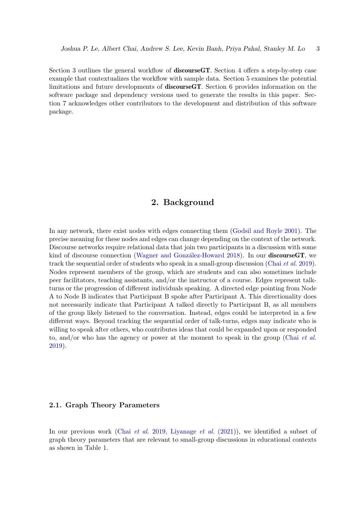Section 3 outlines the general workflow of **discourseGT**. Section 4 offers a step-by-step case example that contextualizes the workflow with sample data. Section 5 examines the potential limitations and future developments of discourseGT. Section 6 provides information on the software package and dependency versions used to generate the results in this paper. Section 7 acknowledges other contributors to the development and distribution of this software package.

## 2. Background

In any network, there exist nodes with edges connecting them [\(Godsil and Royle](#page-30-9) [2001\)](#page-30-9). The precise meaning for these nodes and edges can change depending on the context of the network. Discourse networks require relational data that join two participants in a discussion with some kind of discourse connection (Wagner and González-Howard [2018\)](#page-32-7). In our **discourseGT**, we track the sequential order of students who speak in a small-group discussion (Chai [et al.](#page-29-7) [2019\)](#page-29-7). Nodes represent members of the group, which are students and can also sometimes include peer facilitators, teaching assistants, and/or the instructor of a course. Edges represent talkturns or the progression of different individuals speaking. A directed edge pointing from Node A to Node B indicates that Participant B spoke after Participant A. This directionality does not necessarily indicate that Participant A talked directly to Participant B, as all members of the group likely listened to the conversation. Instead, edges could be interpreted in a few different ways. Beyond tracking the sequential order of talk-turns, edges may indicate who is willing to speak after others, who contributes ideas that could be expanded upon or responded to, and/or who has the agency or power at the moment to speak in the group (Chai [et al.](#page-29-7) [2019\)](#page-29-7).

#### 2.1. Graph Theory Parameters

In our previous work (Chai *[et al.](#page-29-7)* [2019,](#page-29-7) [Liyanage](#page-31-5) *et al.* [\(2021\)](#page-31-5)), we identified a subset of graph theory parameters that are relevant to small-group discussions in educational contexts as shown in Table [1.](#page-3-0)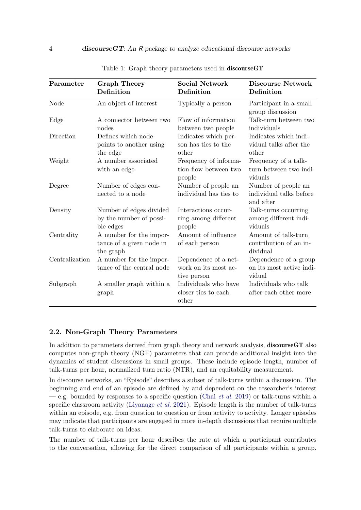| Parameter                                                                                                                      | <b>Graph Theory</b><br>Definition                                | <b>Social Network</b><br>Definition                         | <b>Discourse Network</b><br>Definition                      |  |
|--------------------------------------------------------------------------------------------------------------------------------|------------------------------------------------------------------|-------------------------------------------------------------|-------------------------------------------------------------|--|
| Node                                                                                                                           | An object of interest                                            | Typically a person                                          | Participant in a small<br>group discussion                  |  |
| Edge                                                                                                                           | A connector between two<br>nodes                                 | Flow of information<br>between two people                   | Talk-turn between two<br>individuals                        |  |
| Defines which node<br>Indicates which per-<br>Direction<br>points to another using<br>son has ties to the<br>other<br>the edge |                                                                  |                                                             | Indicates which indi-<br>vidual talks after the<br>other    |  |
| Weight                                                                                                                         | A number associated<br>with an edge                              | Frequency of informa-<br>tion flow between two<br>people    | Frequency of a talk-<br>turn between two indi-<br>viduals   |  |
| Degree                                                                                                                         | Number of edges con-<br>nected to a node                         | Number of people an<br>individual has ties to               | Number of people an<br>individual talks before<br>and after |  |
| Density                                                                                                                        | Number of edges divided<br>by the number of possi-<br>ble edges  | Interactions occur-<br>ring among different<br>people       | Talk-turns occurring<br>among different indi-<br>viduals    |  |
| Centrality                                                                                                                     | A number for the impor-<br>tance of a given node in<br>the graph | Amount of influence<br>of each person                       | Amount of talk-turn<br>contribution of an in-<br>dividual   |  |
| Centralization                                                                                                                 | A number for the impor-<br>tance of the central node             | Dependence of a net-<br>work on its most ac-<br>tive person | Dependence of a group<br>on its most active indi-<br>vidual |  |
| Subgraph                                                                                                                       | A smaller graph within a<br>graph                                | Individuals who have<br>closer ties to each<br>other        | Individuals who talk<br>after each other more               |  |

<span id="page-3-0"></span>Table 1: Graph theory parameters used in discourseGT

### 2.2. Non-Graph Theory Parameters

In addition to parameters derived from graph theory and network analysis, discourseGT also computes non-graph theory (NGT) parameters that can provide additional insight into the dynamics of student discussions in small groups. These include episode length, number of talk-turns per hour, normalized turn ratio (NTR), and an equitability measurement.

In discourse networks, an "Episode" describes a subset of talk-turns within a discussion. The beginning and end of an episode are defined by and dependent on the researcher's interest  $-$  e.g. bounded by responses to a specific question (Chai *[et al.](#page-29-7)* [2019\)](#page-29-7) or talk-turns within a specific classroom activity [\(Liyanage](#page-31-5) *et al.* [2021\)](#page-31-5). Episode length is the number of talk-turns within an episode, e.g. from question to question or from activity to activity. Longer episodes may indicate that participants are engaged in more in-depth discussions that require multiple talk-turns to elaborate on ideas.

The number of talk-turns per hour describes the rate at which a participant contributes to the conversation, allowing for the direct comparison of all participants within a group.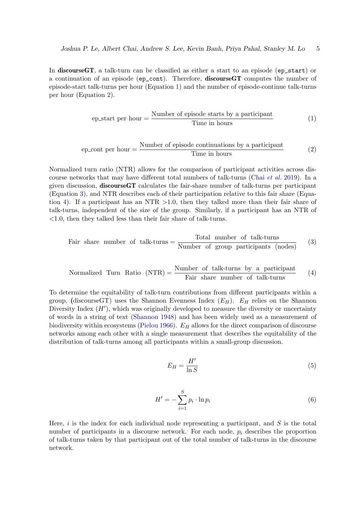<span id="page-4-0"></span>In discourseGT, a talk-turn can be classified as either a start to an episode (ep\_start) or a continuation of an episode (ep\_cont). Therefore, discourseGT computes the number of episode-start talk-turns per hour (Equation [1\)](#page-4-0) and the number of episode-continue talk-turns per hour (Equation [2\)](#page-4-1).

$$
ep\_start\ per\ hour = \frac{Number\ of\ episode\ starts\ by\ a\ participant}{Time\ in\ hours} \tag{1}
$$

<span id="page-4-1"></span>
$$
ep_{cont} per hour = \frac{Number of episode continuations by a participant}{Time in hours}
$$
 (2)

Normalized turn ratio (NTR) allows for the comparison of participant activities across discourse networks that may have different total numbers of talk-turns (Chai [et al.](#page-29-7) [2019\)](#page-29-7). In a given discussion, discourseGT calculates the fair-share number of talk-turns per participant (Equation [3\)](#page-4-2), and NTR describes each of their participation relative to this fair share (Equation [4\)](#page-4-3). If a participant has an NTR >1.0, then they talked more than their fair share of talk-turns, independent of the size of the group. Similarly, if a participant has an NTR of <1.0, then they talked less than their fair share of talk-turns.

<span id="page-4-2"></span>Fair share number of talk-turns = 
$$
\frac{\text{Total number of talk-turns}}{\text{Number of group participants (nodes)}}
$$
(3)

<span id="page-4-3"></span>
$$
Normalized Turn Ratio (NTR) = \frac{Number of talk-turns by a participant}{Fair share number of talk-turns}
$$
 (4)

To determine the equitability of talk-turn contributions from different participants within a group, (discourseGT) uses the Shannon Evenness Index  $(E_H)$ .  $E_H$  relies on the Shannon Diversity Index  $(H')$ , which was originally developed to measure the diversity or uncertainty of words in a string of text [\(Shannon](#page-32-11) [1948\)](#page-32-11) and has been widely used as a measurement of biodiversity within ecosystems [\(Pielou](#page-31-10) [1966\)](#page-31-10).  $E_H$  allows for the direct comparison of discourse networks among each other with a single measurement that describes the equitability of the distribution of talk-turns among all participants within a small-group discussion.

$$
E_H = \frac{H'}{\ln S} \tag{5}
$$

$$
H' = -\sum_{i=1}^{S} p_i \cdot \ln p_i \tag{6}
$$

Here,  $i$  is the index for each individual node representing a participant, and  $S$  is the total number of participants in a discourse network. For each node,  $p_i$  describes the proportion of talk-turns taken by that participant out of the total number of talk-turns in the discourse network.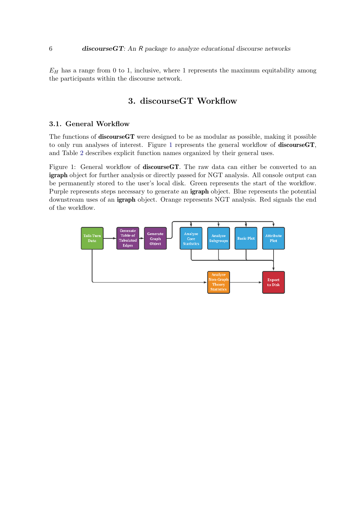$E_H$  has a range from 0 to 1, inclusive, where 1 represents the maximum equitability among the participants within the discourse network.

## 3. discourseGT Workflow

#### 3.1. General Workflow

The functions of discourseGT were designed to be as modular as possible, making it possible to only run analyses of interest. Figure [1](#page-5-0) represents the general workflow of discourseGT, and Table [2](#page-5-1) describes explicit function names organized by their general uses.

<span id="page-5-0"></span>Figure 1: General workflow of **discourseGT**. The raw data can either be converted to an igraph object for further analysis or directly passed for NGT analysis. All console output can be permanently stored to the user's local disk. Green represents the start of the workflow. Purple represents steps necessary to generate an igraph object. Blue represents the potential downstream uses of an igraph object. Orange represents NGT analysis. Red signals the end of the workflow.

<span id="page-5-1"></span>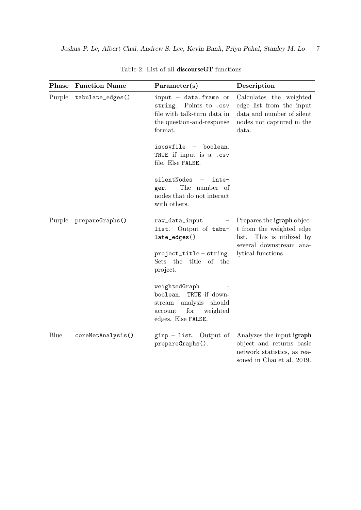| Phase  | <b>Function Name</b>   | Parameter(s)                                                                                                                | Description                                                                                                              |
|--------|------------------------|-----------------------------------------------------------------------------------------------------------------------------|--------------------------------------------------------------------------------------------------------------------------|
| Purple | tabulate_edges()       | $input - data-frame$ or<br>Points to .csv<br>string.<br>file with talk-turn data in<br>the question-and-response<br>format. | Calculates the weighted<br>edge list from the input<br>data and number of silent<br>nodes not captured in the<br>data.   |
|        |                        | iscsvfile - boolean.<br>TRUE if input is a .csv<br>file. Else FALSE.                                                        |                                                                                                                          |
|        |                        | silentNodes<br>inte-<br>$\overline{\phantom{m}}$<br>The number of<br>ger.<br>nodes that do not interact<br>with others.     |                                                                                                                          |
|        | Purple prepareGraphs() | raw_data_input<br>list. Output of tabu-<br>late_edges().                                                                    | Prepares the <b>igraph</b> objec-<br>t from the weighted edge<br>This is utilized by<br>list.<br>several downstream ana- |
|        |                        | $project\_title - string.$<br>Sets the title of the<br>project.                                                             | lytical functions.                                                                                                       |
|        |                        | weightedGraph<br>TRUE if down-<br>boolean.<br>analysis should<br>stream<br>for<br>weighted<br>account<br>edges. Else FALSE. |                                                                                                                          |
| Blue   | coreNetAnalysis()      | $ginp - list.$ Output of<br>prepareGraphs().                                                                                | Analyzes the input igraph<br>object and returns basic<br>network statistics, as rea-<br>soned in Chai et al. 2019.       |

Table 2: List of all discourseGT functions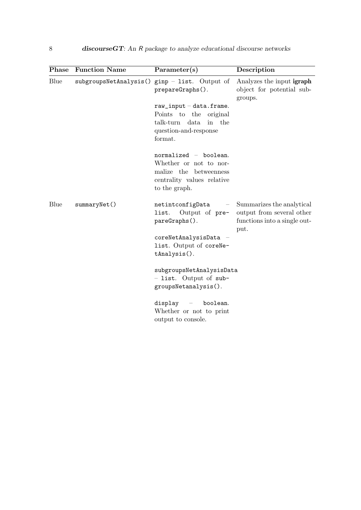| Phase | <b>Function Name</b> | Parameter(s)                                                                                                               | Description                                                                                    |
|-------|----------------------|----------------------------------------------------------------------------------------------------------------------------|------------------------------------------------------------------------------------------------|
| Blue  |                      | $subgroupsNetAnalysis()$ ginp - list. Output of<br>prepareGraphs().                                                        | Analyzes the input igraph<br>object for potential sub-<br>groups.                              |
|       |                      | $raw\_input - data-frame.$<br>Points to the original<br>in the<br>$t$ alk-turn<br>data<br>question-and-response<br>format. |                                                                                                |
|       |                      | $normalized - boolean.$<br>Whether or not to nor-<br>malize the betweenness<br>centrality values relative<br>to the graph. |                                                                                                |
| Blue  | summaryNet()         | ${\tt net} \verb"intconfigData"$<br>$\overline{\phantom{m}}$<br>Output of pre-<br>list.<br>pareGraphs().                   | Summarizes the analytical<br>output from several other<br>functions into a single out-<br>put. |
|       |                      | coreNetAnalysisData -<br>list. Output of coreNe-<br>tAnalysis().                                                           |                                                                                                |
|       |                      | subgroupsNetAnalysisData<br>- list. Output of sub-<br>groupsNetanalysis().                                                 |                                                                                                |
|       |                      | display<br>boolean.<br>Whether or not to print<br>output to console.                                                       |                                                                                                |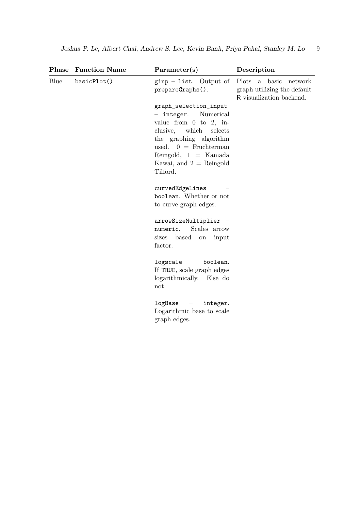| Phase | <b>Function Name</b> | Parameter(s)                                                                                                                                                                                                                          | Description                                                                      |
|-------|----------------------|---------------------------------------------------------------------------------------------------------------------------------------------------------------------------------------------------------------------------------------|----------------------------------------------------------------------------------|
| Blue  | basicPlot()          | $ginp - list.$ Output of<br>prepareGraphs().                                                                                                                                                                                          | Plots a basic network<br>graph utilizing the default<br>R visualization backend. |
|       |                      | graph_selection_input<br>integer.<br>Numerical<br>value from $0$ to $2$ , in-<br>clusive,<br>which<br>selects<br>the graphing algorithm<br>used. $0 = Fruchterman$<br>Reingold, $1 =$ Kamada<br>Kawai, and $2 =$ Reingold<br>Tilford. |                                                                                  |
|       |                      | curvedEdgeLines<br>boolean. Whether or not<br>to curve graph edges.                                                                                                                                                                   |                                                                                  |
|       |                      | arrowSizeMultiplier -<br>Scales arrow<br>numeric.<br>sizes<br>based<br>input<br>$\,$ on<br>factor.                                                                                                                                    |                                                                                  |
|       |                      | logscale - boolean.<br>If TRUE, scale graph edges<br>logarithmically. Else do<br>not.                                                                                                                                                 |                                                                                  |
|       |                      | logBase<br>integer.<br>$\overline{\phantom{m}}$<br>Logarithmic base to scale<br>graph edges.                                                                                                                                          |                                                                                  |
|       |                      |                                                                                                                                                                                                                                       |                                                                                  |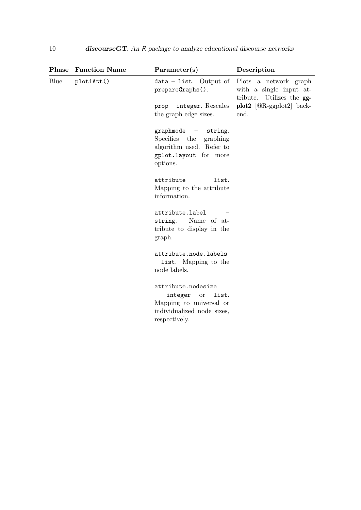| Phase | <b>Function Name</b> | Parameter(s)                                                                                                                             | Description                                                                      |
|-------|----------------------|------------------------------------------------------------------------------------------------------------------------------------------|----------------------------------------------------------------------------------|
| Blue  | plot1Att()           | $data - list.$ Output of<br>prepareGraphs().                                                                                             | Plots a network graph<br>with a single input at-<br>tribute.<br>Utilizes the gg- |
|       |                      | prop - integer. Rescales<br>the graph edge sizes.                                                                                        | $plot2$ [ $@R\text{-ggplot2}$ ] back-<br>end.                                    |
|       |                      | graphmode -<br>string.<br>Specifies the<br>graphing<br>algorithm used. Refer to<br>gplot.layout for more<br>options.                     |                                                                                  |
|       |                      | attribute<br>list.<br>$\sim$ $-$<br>Mapping to the attribute<br>information.                                                             |                                                                                  |
|       |                      | attribute.label<br>string.<br>Name of at-<br>tribute to display in the<br>graph.                                                         |                                                                                  |
|       |                      | attribute.node.labels<br>- list. Mapping to the<br>node labels.                                                                          |                                                                                  |
|       |                      | attribute.nodesize<br>integer<br>list.<br>$\hbox{or}\hskip2pt$<br>Mapping to universal or<br>individualized node sizes,<br>respectively. |                                                                                  |
|       |                      |                                                                                                                                          |                                                                                  |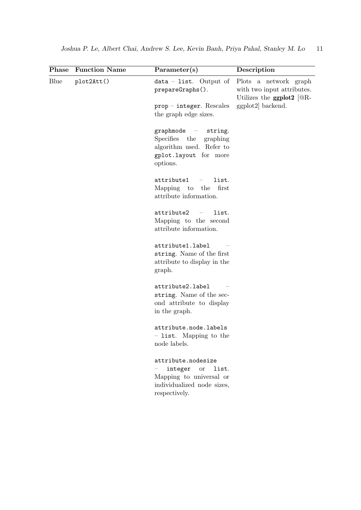|      | <b>Phase</b> Function Name<br>Parameter(s) |                                                                                                                                          | Description                                                                                            |  |  |
|------|--------------------------------------------|------------------------------------------------------------------------------------------------------------------------------------------|--------------------------------------------------------------------------------------------------------|--|--|
| Blue | plot2Att()                                 | $data - list.$ Output of<br>prepareGraphs().<br>prop - integer. Rescales<br>the graph edge sizes.                                        | Plots a network graph<br>with two input attributes.<br>Utilizes the ggplot2 $[@R-$<br>ggplot2 backend. |  |  |
|      |                                            | graphmode -<br>string.<br>Specifies the<br>graphing<br>algorithm used. Refer to<br>gplot.layout for more<br>options.                     |                                                                                                        |  |  |
|      |                                            | attribute1<br>list.<br>$\overline{\phantom{m}}$<br>Mapping to the<br>first<br>attribute information.                                     |                                                                                                        |  |  |
|      |                                            | attribute2<br>list.<br>$\sim$ $-$<br>Mapping to the second<br>attribute information.                                                     |                                                                                                        |  |  |
|      |                                            | attribute1.label<br>string. Name of the first<br>attribute to display in the<br>graph.                                                   |                                                                                                        |  |  |
|      |                                            | attribute2.label<br>string. Name of the sec-<br>ond attribute to display<br>in the graph.                                                |                                                                                                        |  |  |
|      |                                            | attribute.node.labels<br>- list. Mapping to the<br>node labels.                                                                          |                                                                                                        |  |  |
|      |                                            | attribute.nodesize<br>integer<br>$\hbox{or}\hskip2pt$<br>list.<br>Mapping to universal or<br>individualized node sizes,<br>respectively. |                                                                                                        |  |  |
|      |                                            |                                                                                                                                          |                                                                                                        |  |  |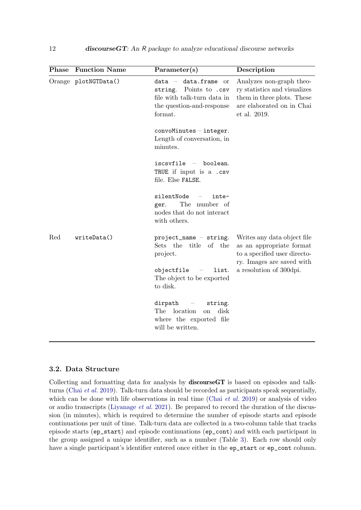| Phase | <b>Function Name</b> | Parameter(s)                                                                                                                      | Description                                                                                                                         |
|-------|----------------------|-----------------------------------------------------------------------------------------------------------------------------------|-------------------------------------------------------------------------------------------------------------------------------------|
|       | Orange plotNGTData() | $data - data-frame or$<br>Points to .csv<br>string.<br>file with talk-turn data in<br>the question-and-response<br>format.        | Analyzes non-graph theo-<br>ry statistics and visualizes<br>them in three plots. These<br>are elaborated on in Chai<br>et al. 2019. |
|       |                      | $conv of mates - integer.$<br>Length of conversation, in<br>minutes.                                                              |                                                                                                                                     |
|       |                      | $iscstile - boolean.$<br>TRUE if input is a .csv<br>file. Else FALSE.                                                             |                                                                                                                                     |
|       |                      | silentNode<br>inte-<br>The number of<br>ger.<br>nodes that do not interact<br>with others.                                        |                                                                                                                                     |
| Red   | writeData()          | $project_name - string.$<br>Sets the<br>title of the<br>project.                                                                  | Writes any data object file<br>as an appropriate format<br>to a specified user directo-                                             |
|       |                      | objectfile<br>list.<br>$\alpha \rightarrow \beta \gamma$<br>The object to be exported<br>to disk.                                 | ry. Images are saved with<br>a resolution of 300 dpi.                                                                               |
|       |                      | dirpath<br>string.<br>$\alpha \rightarrow \alpha$<br>location<br>disk<br>The<br>on<br>where the exported file<br>will be written. |                                                                                                                                     |

#### 3.2. Data Structure

Collecting and formatting data for analysis by discourseGT is based on episodes and talkturns (Chai *[et al.](#page-29-7)* [2019\)](#page-29-7). Talk-turn data should be recorded as participants speak sequentially, which can be done with life observations in real time (Chai [et al.](#page-29-7) [2019\)](#page-29-7) or analysis of video or audio transcripts [\(Liyanage](#page-31-5) et al. [2021\)](#page-31-5). Be prepared to record the duration of the discussion (in minutes), which is required to determine the number of episode starts and episode continuations per unit of time. Talk-turn data are collected in a two-column table that tracks episode starts (ep\_start) and episode continuations (ep\_cont) and with each participant in the group assigned a unique identifier, such as a number (Table [3\)](#page-12-0). Each row should only have a single participant's identifier entered once either in the ep\_start or ep\_cont column.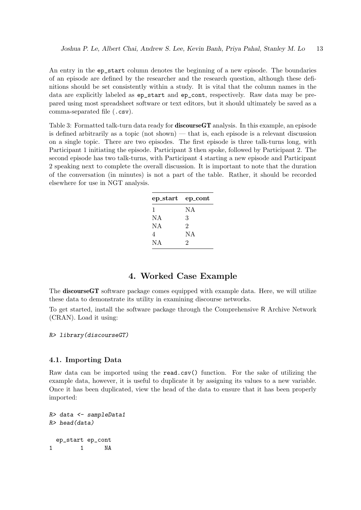An entry in the ep\_start column denotes the beginning of a new episode. The boundaries of an episode are defined by the researcher and the research question, although these definitions should be set consistently within a study. It is vital that the column names in the data are explicitly labeled as  $ep\_start$  and  $ep\_cont$ , respectively. Raw data may be prepared using most spreadsheet software or text editors, but it should ultimately be saved as a comma-separated file (.csv).

<span id="page-12-0"></span>Table 3: Formatted talk-turn data ready for **discourseGT** analysis. In this example, an episode is defined arbitrarily as a topic (not shown) — that is, each episode is a relevant discussion on a single topic. There are two episodes. The first episode is three talk-turns long, with Participant 1 initiating the episode. Participant 3 then spoke, followed by Participant 2. The second episode has two talk-turns, with Participant 4 starting a new episode and Participant 2 speaking next to complete the overall discussion. It is important to note that the duration of the conversation (in minutes) is not a part of the table. Rather, it should be recorded elsewhere for use in NGT analysis.

| $ep\_start$ | ep_cont |
|-------------|---------|
| 1           | NA      |
| NA          | 3       |
| NA          | 2       |
| 4           | NA.     |
| N A         | 2       |

## 4. Worked Case Example

The discourseGT software package comes equipped with example data. Here, we will utilize these data to demonstrate its utility in examining discourse networks.

To get started, install the software package through the Comprehensive R Archive Network (CRAN). Load it using:

#### R> library(discourseGT)

#### 4.1. Importing Data

Raw data can be imported using the read.csv() function. For the sake of utilizing the example data, however, it is useful to duplicate it by assigning its values to a new variable. Once it has been duplicated, view the head of the data to ensure that it has been properly imported:

```
R> data \leq sampleData1
R> head(data)
 ep_start ep_cont
1 1 NA
```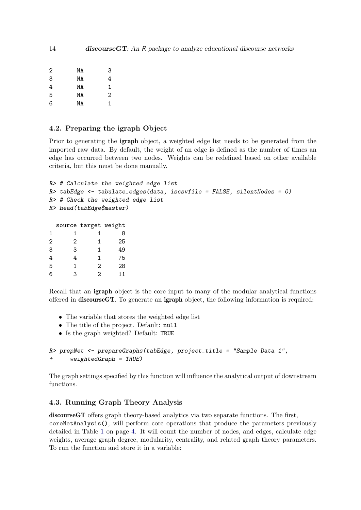| $\mathbf{2}$ | NA | 3 |
|--------------|----|---|
| 3            | ΝA | 4 |
| 4            | ΝA | 1 |
| 5            | ΝA | 2 |
| 6            | ΝA | 1 |

### 4.2. Preparing the igraph Object

Prior to generating the igraph object, a weighted edge list needs to be generated from the imported raw data. By default, the weight of an edge is defined as the number of times an edge has occurred between two nodes. Weights can be redefined based on other available criteria, but this must be done manually.

```
R> # Calculate the weighted edge list
R> tabEdge <- tabulate_edges(data, iscsvfile = FALSE, silentNodes = 0)
R> # Check the weighted edge list
R> head(tabEdge$master)
 source target weight
1 1 1 8
2 2 1 25
```

| 3 | 3 | 1 | 49 |
|---|---|---|----|
| 4 | 4 | 1 | 75 |
| 5 | 1 | 2 | 28 |
| 6 | 3 | 2 | 11 |

Recall that an igraph object is the core input to many of the modular analytical functions offered in discourseGT. To generate an igraph object, the following information is required:

- The variable that stores the weighted edge list
- The title of the project. Default: null
- Is the graph weighted? Default: TRUE

```
R> prepNet <- prepareGraphs(tabEdge, project_title = "Sample Data 1",
      weightedGraph = TRUE)
```
The graph settings specified by this function will influence the analytical output of downstream functions.

#### 4.3. Running Graph Theory Analysis

discourseGT offers graph theory-based analytics via two separate functions. The first, coreNetAnalysis(), will perform core operations that produce the parameters previously detailed in Table [1](#page-3-0) on page [4.](#page-3-0) It will count the number of nodes, and edges, calculate edge weights, average graph degree, modularity, centrality, and related graph theory parameters. To run the function and store it in a variable: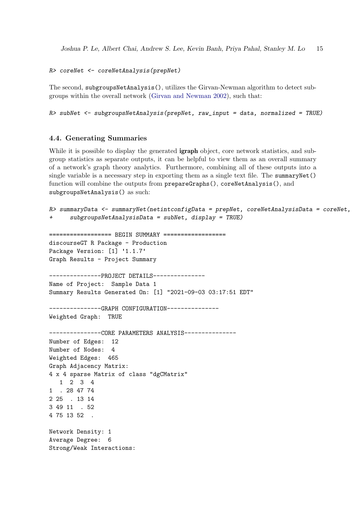```
R> coreNet <- coreNetAnalysis(prepNet)
```
The second, subgroupsNetAnalysis(), utilizes the Girvan-Newman algorithm to detect subgroups within the overall network [\(Girvan and Newman](#page-30-10) [2002\)](#page-30-10), such that:

R> subNet <- subgroupsNetAnalysis(prepNet, raw\_input = data, normalized = TRUE)

#### 4.4. Generating Summaries

While it is possible to display the generated **igraph** object, core network statistics, and subgroup statistics as separate outputs, it can be helpful to view them as an overall summary of a network's graph theory analytics. Furthermore, combining all of these outputs into a single variable is a necessary step in exporting them as a single text file. The summaryNet() function will combine the outputs from prepareGraphs(), coreNetAnalysis(), and subgroupsNetAnalysis() as such:

```
R> summaryData <- summaryNet(netintconfigData = prepNet, coreNetAnalysisData = coreNet,
      subgroupsNetAnalysisData = subNet, display = TRUE)================== BEGIN SUMMARY ==================
discourseGT R Package - Production
Package Version: [1] '1.1.7'
Graph Results - Project Summary
----------------PROJECT DETAILS---------------
Name of Project: Sample Data 1
Summary Results Generated On: [1] "2021-09-03 03:17:51 EDT"
-------------GRAPH CONFIGURATION--------------
Weighted Graph: TRUE
---------------CORE PARAMETERS ANALYSIS---------------
Number of Edges: 12
Number of Nodes: 4
Weighted Edges: 465
Graph Adjacency Matrix:
4 x 4 sparse Matrix of class "dgCMatrix"
  1 2 3 4
1 . 28 47 74
2 25 . 13 14
3 49 11 . 52
4 75 13 52 .
Network Density: 1
Average Degree: 6
Strong/Weak Interactions:
```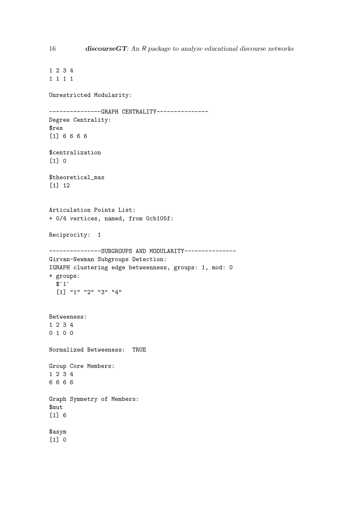```
1 2 3 4
1 1 1 1
Unrestricted Modularity:
--------------GRAPH CENTRALITY---------------
Degree Centrality:
$res
[1] 6 6 6 6
$centralization
[1] 0
$theoretical_max
[1] 12
Articulation Points List:
+ 0/4 vertices, named, from 0cb105f:
Reciprocity: 1
-------------SUBGROUPS AND MODULARITY--------------
Girvan-Newman Subgroups Detection:
IGRAPH clustering edge betweenness, groups: 1, mod: 0
+ groups:
$`1`
  [1] "1" "2" "3" "4"
Betweeness:
1 2 3 4
0 1 0 0
Normalized Betweeness: TRUE
Group Core Members:
1 2 3 4
6 6 6 6
Graph Symmetry of Members:
$mut
[1] 6
$asym
[1] 0
```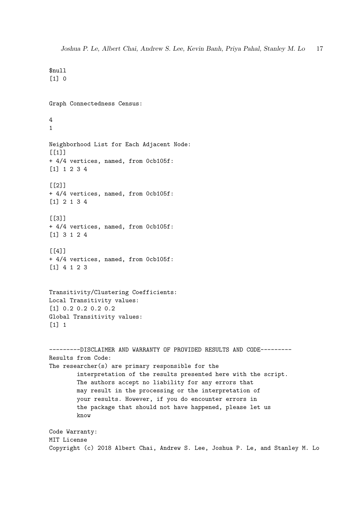\$null [1] 0 Graph Connectedness Census: 4 1 Neighborhood List for Each Adjacent Node:  $[$ [1]] + 4/4 vertices, named, from 0cb105f: [1] 1 2 3 4  $[$ [2]] + 4/4 vertices, named, from 0cb105f: [1] 2 1 3 4  $[$ [ $]$ ] $]$ + 4/4 vertices, named, from 0cb105f: [1] 3 1 2 4  $\sqrt{[4]1}$ + 4/4 vertices, named, from 0cb105f: [1] 4 1 2 3 Transitivity/Clustering Coefficients: Local Transitivity values: [1] 0.2 0.2 0.2 0.2 Global Transitivity values: [1] 1 ---------DISCLAIMER AND WARRANTY OF PROVIDED RESULTS AND CODE--------- Results from Code: The researcher(s) are primary responsible for the interpretation of the results presented here with the script. The authors accept no liability for any errors that may result in the processing or the interpretation of your results. However, if you do encounter errors in the package that should not have happened, please let us know Code Warranty: MIT License Copyright (c) 2018 Albert Chai, Andrew S. Lee, Joshua P. Le, and Stanley M. Lo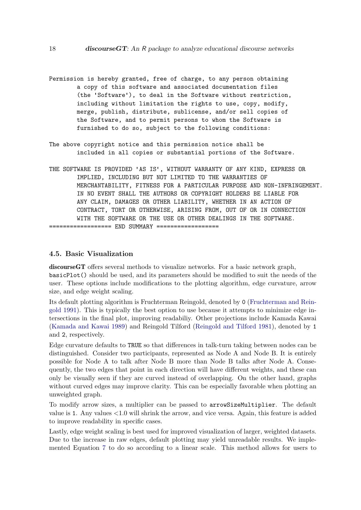- Permission is hereby granted, free of charge, to any person obtaining a copy of this software and associated documentation files (the 'Software'), to deal in the Software without restriction, including without limitation the rights to use, copy, modify, merge, publish, distribute, sublicense, and/or sell copies of the Software, and to permit persons to whom the Software is furnished to do so, subject to the following conditions:
- The above copyright notice and this permission notice shall be included in all copies or substantial portions of the Software.
- THE SOFTWARE IS PROVIDED 'AS IS', WITHOUT WARRANTY OF ANY KIND, EXPRESS OR IMPLIED, INCLUDING BUT NOT LIMITED TO THE WARRANTIES OF MERCHANTABILITY, FITNESS FOR A PARTICULAR PURPOSE AND NON-INFRINGEMENT. IN NO EVENT SHALL THE AUTHORS OR COPYRIGHT HOLDERS BE LIABLE FOR ANY CLAIM, DAMAGES OR OTHER LIABILITY, WHETHER IN AN ACTION OF CONTRACT, TORT OR OTHERWISE, ARISING FROM, OUT OF OR IN CONNECTION WITH THE SOFTWARE OR THE USE OR OTHER DEALINGS IN THE SOFTWARE. ======== END SUMMARY ==================

#### 4.5. Basic Visualization

discourseGT offers several methods to visualize networks. For a basic network graph, basicPlot() should be used, and its parameters should be modified to suit the needs of the user. These options include modifications to the plotting algorithm, edge curvature, arrow size, and edge weight scaling.

Its default plotting algorithm is Fruchterman Reingold, denoted by 0 [\(Fruchterman and Rein](#page-29-12)[gold](#page-29-12) [1991\)](#page-29-12). This is typically the best option to use because it attempts to minimize edge intersections in the final plot, improving readabiliy. Other projections include Kamada Kawai [\(Kamada and Kawai](#page-30-11) [1989\)](#page-30-11) and Reingold Tilford [\(Reingold and Tilford](#page-31-11) [1981\)](#page-31-11), denoted by 1 and 2, respectively.

Edge curvature defaults to TRUE so that differences in talk-turn taking between nodes can be distinguished. Consider two participants, represented as Node A and Node B. It is entirely possible for Node A to talk after Node B more than Node B talks after Node A. Consequently, the two edges that point in each direction will have different weights, and these can only be visually seen if they are curved instead of overlapping. On the other hand, graphs without curved edges may improve clarity. This can be especially favorable when plotting an unweighted graph.

To modify arrow sizes, a multiplier can be passed to arrowSizeMultiplier. The default value is 1. Any values <1.0 will shrink the arrow, and vice versa. Again, this feature is added to improve readability in specific cases.

Lastly, edge weight scaling is best used for improved visualization of larger, weighted datasets. Due to the increase in raw edges, default plotting may yield unreadable results. We implemented Equation [7](#page-18-0) to do so according to a linear scale. This method allows for users to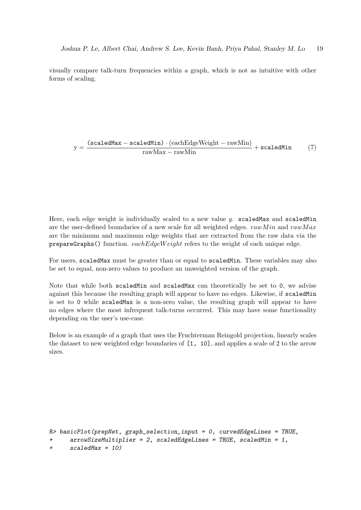<span id="page-18-0"></span>visually compare talk-turn frequencies within a graph, which is not as intuitive with other forms of scaling.

$$
y = \frac{(scaledMax - scaledMin) \cdot (eachEdgeWeight - rawMin)}{rawMax - rawMin} + scaledMin \tag{7}
$$

Here, each edge weight is individually scaled to a new value  $y$ . scaled Max and scaled Min are the user-defined boundaries of a new scale for all weighted edges. rawMin and rawMax are the minimum and maximum edge weights that are extracted from the raw data via the prepareGraphs() function. eachEdgeWeight refers to the weight of each unique edge.

For users, scaledMax must be greater than or equal to scaledMin. These variables may also be set to equal, non-zero values to produce an unweighted version of the graph.

Note that while both scaledMin and scaledMax can theoretically be set to 0, we advise against this because the resulting graph will appear to have no edges. Likewise, if scaledMin is set to 0 while scaledMax is a non-zero value, the resulting graph will appear to have no edges where the most infrequent talk-turns occurred. This may have some functionality depending on the user's use-case.

Below is an example of a graph that uses the Fruchterman Reingold projection, linearly scales the dataset to new weighted edge boundaries of [1, 10], and applies a scale of 2 to the arrow sizes.

```
R> basicPlot(prepNet, graph_selection_input = 0, curvedEdgeLines = TRUE,
+ arrowSizeMultiplier = 2, scaledEdgeLines = TRUE, scaledMin = 1,
+ scaledMax = 10)
```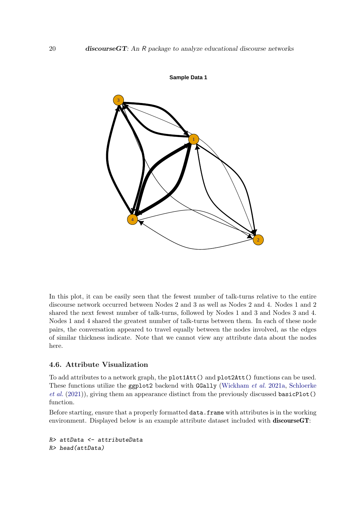

**Sample Data 1**

In this plot, it can be easily seen that the fewest number of talk-turns relative to the entire discourse network occurred between Nodes 2 and 3 as well as Nodes 2 and 4. Nodes 1 and 2 shared the next fewest number of talk-turns, followed by Nodes 1 and 3 and Nodes 3 and 4. Nodes 1 and 4 shared the greatest number of talk-turns between them. In each of these node pairs, the conversation appeared to travel equally between the nodes involved, as the edges of similar thickness indicate. Note that we cannot view any attribute data about the nodes here.

#### 4.6. Attribute Visualization

To add attributes to a network graph, the plot1Att() and plot2Att() functions can be used. These functions utilize the ggplot2 backend with GGally [\(Wickham](#page-33-8) *et al.* [2021a,](#page-33-8) [Schloerke](#page-32-8) [et al.](#page-32-8) [\(2021\)](#page-32-8)), giving them an appearance distinct from the previously discussed basicPlot() function.

Before starting, ensure that a properly formatted data.frame with attributes is in the working environment. Displayed below is an example attribute dataset included with discourseGT:

```
R> attData <- attributeData
R> head(attData)
```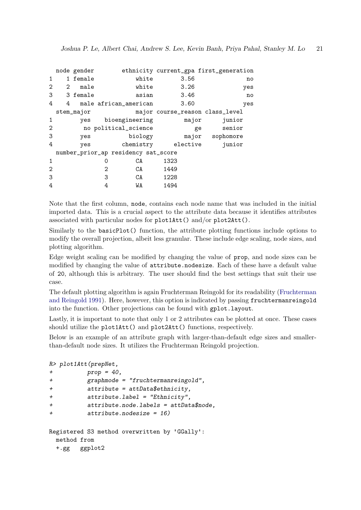|                | node gender |   | ethnicity current_gpa first_generation |       |                                 |       |                 |        |     |
|----------------|-------------|---|----------------------------------------|-------|---------------------------------|-------|-----------------|--------|-----|
| $\mathbf{1}$   | 1 female    |   |                                        | white |                                 | 3.56  |                 |        | no  |
| $\overline{2}$ | 2 male      |   |                                        | white |                                 | 3.26  |                 |        | yes |
|                | 3 3 female  |   | asian                                  |       |                                 | 3.46  |                 |        | no  |
| 4              |             |   | 4 male african_american                |       |                                 | 3.60  |                 |        | yes |
|                | stem_major  |   |                                        |       | major course_reason class_level |       |                 |        |     |
| 1              |             |   | yes bioengineering                     |       |                                 | major |                 | junior |     |
| $\overline{2}$ |             |   | no political_science                   |       |                                 | ge    |                 | senior |     |
| 3              | yes         |   | biology                                |       |                                 |       | major sophomore |        |     |
| 4              | yes         |   | chemistry elective                     |       |                                 |       |                 | junior |     |
|                |             |   | number_prior_ap residency sat_score    |       |                                 |       |                 |        |     |
| 1              |             | O | CA                                     |       | 1323                            |       |                 |        |     |
| $\overline{2}$ |             | 2 | CA                                     |       | 1449                            |       |                 |        |     |
| 3              |             | 3 | CA                                     |       | 1228                            |       |                 |        |     |
| 4              |             | 4 | WA                                     |       | 1494                            |       |                 |        |     |

Note that the first column, node, contains each node name that was included in the initial imported data. This is a crucial aspect to the attribute data because it identifies attributes associated with particular nodes for plot1Att() and/or plot2Att().

Similarly to the basicPlot() function, the attribute plotting functions include options to modify the overall projection, albeit less granular. These include edge scaling, node sizes, and plotting algorithm.

Edge weight scaling can be modified by changing the value of prop, and node sizes can be modified by changing the value of attribute.nodesize. Each of these have a default value of 20, although this is arbitrary. The user should find the best settings that suit their use case.

The default plotting algorithm is again Fruchterman Reingold for its readability [\(Fruchterman](#page-29-12) [and Reingold](#page-29-12) [1991\)](#page-29-12). Here, however, this option is indicated by passing fruchtermanreingold into the function. Other projections can be found with gplot.layout.

Lastly, it is important to note that only 1 or 2 attributes can be plotted at once. These cases should utilize the plot1Att() and plot2Att() functions, respectively.

Below is an example of an attribute graph with larger-than-default edge sizes and smallerthan-default node sizes. It utilizes the Fruchterman Reingold projection.

```
R> plot1Att(prepNet,
+ prop = 40,
+ graphmode = "fruchtermanreingold",
+ attribute = attData$ethnicity,
+ attribute.label = "Ethnicity",
+ attribute.node.labels = attData$node,
+ attribute.nodesize = 16)
Registered S3 method overwritten by 'GGally':
 method from
 +.gg ggplot2
```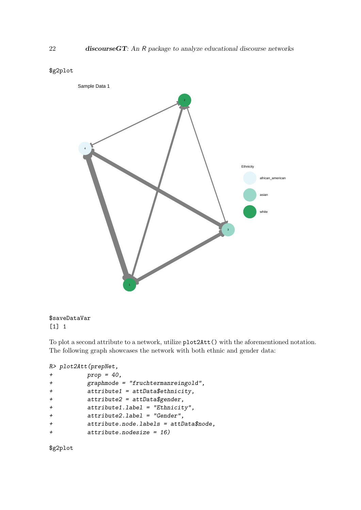\$g2plot



### \$saveDataVar [1] 1

To plot a second attribute to a network, utilize plot2Att() with the aforementioned notation. The following graph showcases the network with both ethnic and gender data:

R> plot2Att(prepNet,

| $\ddot{}$<br>$graph mode = "fruchtermanreingold",$<br>$attribute1 = attData$ethnicity,$<br>$\ddot{}$<br>$\leftarrow$<br>$attribute2 = attData$gender,$<br>$\ddot{}$<br>$attribute1. label = "Ethnicity",$<br>$\leftarrow$<br>$attribute2.label = "Gender",$<br>$\leftarrow$<br>$+$<br>$attribute.nodesize = 16)$ | $\ddot{}$ | $prop = 40,$                            |
|------------------------------------------------------------------------------------------------------------------------------------------------------------------------------------------------------------------------------------------------------------------------------------------------------------------|-----------|-----------------------------------------|
|                                                                                                                                                                                                                                                                                                                  |           |                                         |
|                                                                                                                                                                                                                                                                                                                  |           |                                         |
|                                                                                                                                                                                                                                                                                                                  |           |                                         |
|                                                                                                                                                                                                                                                                                                                  |           |                                         |
|                                                                                                                                                                                                                                                                                                                  |           |                                         |
|                                                                                                                                                                                                                                                                                                                  |           | $attribute.node.labels = attData$node,$ |
|                                                                                                                                                                                                                                                                                                                  |           |                                         |

\$g2plot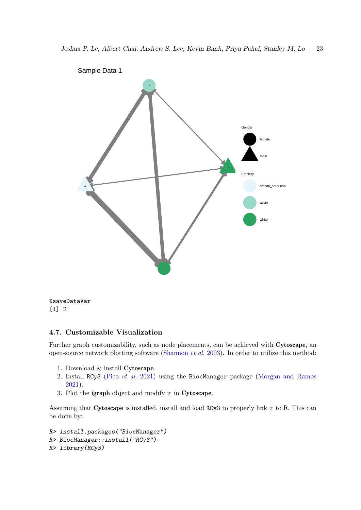

\$saveDataVar [1] 2

#### 4.7. Customizable Visualization

Further graph customizability, such as node placements, can be achieved with Cytoscape, an open-source network plotting software [\(Shannon](#page-32-10) et al. [2003\)](#page-32-10). In order to utilize this method:

- 1. Download & install Cytoscape.
- 2. Install RCy3 (Pico [et al.](#page-31-9) [2021\)](#page-31-9) using the BiocManager package [\(Morgan and Ramos](#page-31-8) [2021\)](#page-31-8).
- 3. Plot the igraph object and modify it in Cytoscape.

Assuming that Cytoscape is installed, install and load RCy3 to properly link it to R. This can be done by:

```
R> install.packages("BiocManager")
R> BiocManager::install("RCy3")
R> library(RCy3)
```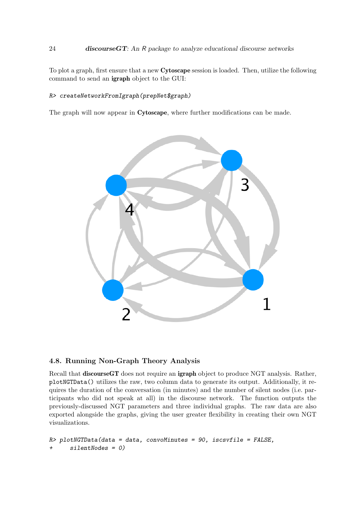#### 24 discourse GT: An R package to analyze educational discourse networks

To plot a graph, first ensure that a new Cytoscape session is loaded. Then, utilize the following command to send an igraph object to the GUI:

#### R> createNetworkFromIgraph(prepNet\$graph)

The graph will now appear in Cytoscape, where further modifications can be made.



### 4.8. Running Non-Graph Theory Analysis

Recall that discourseGT does not require an igraph object to produce NGT analysis. Rather, plotNGTData() utilizes the raw, two column data to generate its output. Additionally, it requires the duration of the conversation (in minutes) and the number of silent nodes (i.e. participants who did not speak at all) in the discourse network. The function outputs the previously-discussed NGT parameters and three individual graphs. The raw data are also exported alongside the graphs, giving the user greater flexibility in creating their own NGT visualizations.

```
R> plotNGTData(data = data, convoMinutes = 90, iscsvfile = FALSE,
     silentNodes = 0)
```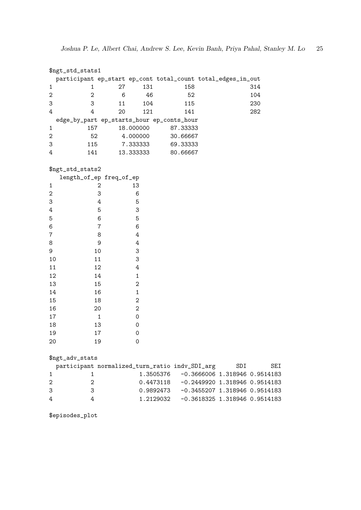```
$ngt_std_stats1
 participant ep_start ep_cont total_count total_edges_in_out
1 1 27 131 158 314
2 2 6 46 52 104
3 3 11 104 115 230
4 4 20 121 141 282
 edge_by_part ep_starts_hour ep_conts_hour
1 157 18.000000 87.33333
2 52 4.000000 30.66667
3 115 7.333333 69.33333
4 141 13.333333 80.66667
$ngt_std_stats2
 length_of_ep freq_of_ep
1 2 13
2 3 6
3 4 5
4 5 3
5 6 5
6 7 6
7 8 4
8 9 4
9 10 3
10 11 3
11 12 4
12 14 1
13 15 2
14 16 1
15 18 2
16 20 2
17 1 0
18 13 0
19 17 0
20 19 0
$ngt_adv_stats
participant normalized_turn_ratio indv_SDI_arg SDI SEI
1 1 1.3505376 -0.3666006 1.318946 0.9514183
2 2 0.4473118 -0.2449920 1.318946 0.9514183
3 3 0.9892473 -0.3455207 1.318946 0.9514183
4 4 1.2129032 -0.3618325 1.318946 0.9514183
```
\$episodes\_plot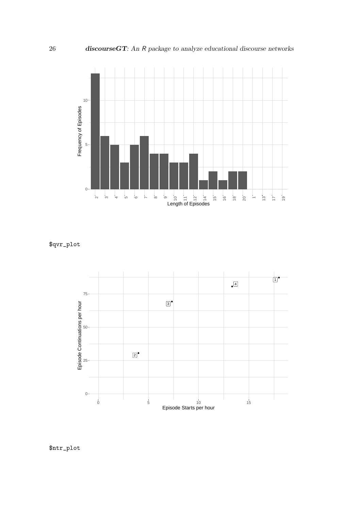

\$qvr\_plot



\$ntr\_plot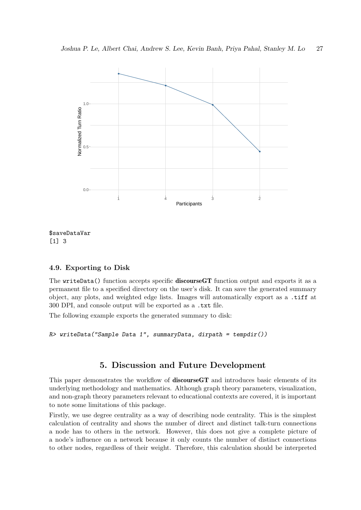

\$saveDataVar [1] 3

#### 4.9. Exporting to Disk

The writeData() function accepts specific discourseGT function output and exports it as a permanent file to a specified directory on the user's disk. It can save the generated summary object, any plots, and weighted edge lists. Images will automatically export as a .tiff at 300 DPI, and console output will be exported as a .txt file.

The following example exports the generated summary to disk:

```
R> writeData("Sample Data 1", summaryData, dirpath = tempdir())
```
### 5. Discussion and Future Development

This paper demonstrates the workflow of **discourseGT** and introduces basic elements of its underlying methodology and mathematics. Although graph theory parameters, visualization, and non-graph theory parameters relevant to educational contexts are covered, it is important to note some limitations of this package.

Firstly, we use degree centrality as a way of describing node centrality. This is the simplest calculation of centrality and shows the number of direct and distinct talk-turn connections a node has to others in the network. However, this does not give a complete picture of a node's influence on a network because it only counts the number of distinct connections to other nodes, regardless of their weight. Therefore, this calculation should be interpreted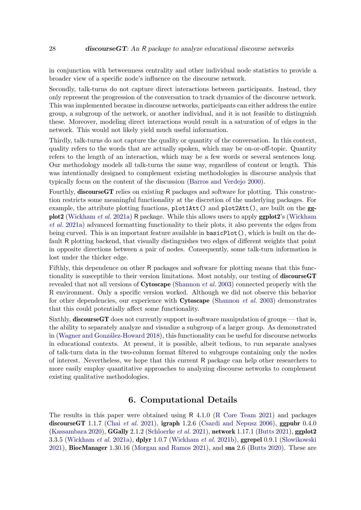in conjunction with betweenness centrality and other individual node statistics to provide a broader view of a specific node's influence on the discourse network.

Secondly, talk-turns do not capture direct interactions between participants. Instead, they only represent the progression of the conversation to track dynamics of the discourse network. This was implemented because in discourse networks, participants can either address the entire group, a subgroup of the network, or another individual, and it is not feasible to distinguish these. Moreover, modeling direct interactions would result in a saturation of of edges in the network. This would not likely yield much useful information.

Thirdly, talk-turns do not capture the quality or quantity of the conversation. In this context, quality refers to the words that are actually spoken, which may be on-or-off-topic. Quantity refers to the length of an interaction, which may be a few words or several sentences long. Our methodology models all talk-turns the same way, regardless of content or length. This was intentionally designed to complement existing methodologies in discourse analysis that typically focus on the content of the discussion [\(Barros and Verdejo](#page-28-6) [2000\)](#page-28-6).

Fourthly, discourseGT relies on existing R packages and software for plotting. This construction restricts some meaningful functionality at the discretion of the underlying packages. For example, the attribute plotting functions, plot1Att() and plot2Att(), are built on the ggplot2 [\(Wickham](#page-33-8) et al. [2021a\)](#page-33-8) R package. While this allows users to apply ggplot2's [\(Wickham](#page-33-8) [et al.](#page-33-8) [2021a\)](#page-33-8) advanced formatting functionality to their plots, it also prevents the edges from being curved. This is an important feature available in basicPlot(), which is built on the default R plotting backend, that visually distinguishes two edges of different weights that point in opposite directions between a pair of nodes. Consequently, some talk-turn information is lost under the thicker edge.

Fifthly, this dependence on other R packages and software for plotting means that this functionality is susceptible to their version limitations. Most notably, our testing of **discourseGT** revealed that not all versions of **Cytoscape** [\(Shannon](#page-32-10) *et al.* [2003\)](#page-32-10) connected properly with the R environment. Only a specific version worked. Although we did not observe this behavior for other dependencies, our experience with **Cytoscape** [\(Shannon](#page-32-10) *et al.* [2003\)](#page-32-10) demonstrates that this could potentially affect some functionality.

Sixthly, **discourse GT** does not currently support in-software manipulation of groups — that is, the ability to separately analyze and visualize a subgroup of a larger group. As demonstrated in (Wagner and González-Howard [2018\)](#page-32-7), this functionality can be useful for discourse networks in educational contexts. At present, it is possible, albeit tedious, to run separate analyses of talk-turn data in the two-column format filtered to subgroups containing only the nodes of interest. Nevertheless, we hope that this current R package can help other researchers to more easily employ quantitative approaches to analyzing discourse networks to complement existing qualitative methodologies.

## 6. Computational Details

The results in this paper were obtained using R 4.1.0 [\(R Core Team](#page-31-7) [2021\)](#page-31-7) and packages discourseGT 1.1.7 (Chai [et al.](#page-29-11) [2021\)](#page-29-11), igraph 1.2.6 [\(Csardi and Nepusz](#page-29-8) [2006\)](#page-29-8), ggpubr 0.4.0 [\(Kassambara](#page-30-8) [2020\)](#page-30-8), GGally 2.1.2 [\(Schloerke](#page-32-8) et al. [2021\)](#page-32-8), network 1.17.1 [\(Butts](#page-29-9) [2021\)](#page-29-9), ggplot2 3.3.5 [\(Wickham](#page-33-9) et al. [2021a\)](#page-33-8), dplyr 1.0.7 (Wickham et al. [2021b\)](#page-33-9), ggrepel 0.9.1 [\(Slowikowski](#page-32-9) [2021\)](#page-32-9), BiocManager 1.30.16 [\(Morgan and Ramos](#page-31-8) [2021\)](#page-31-8), and sna 2.6 [\(Butts](#page-28-5) [2020\)](#page-28-5). These are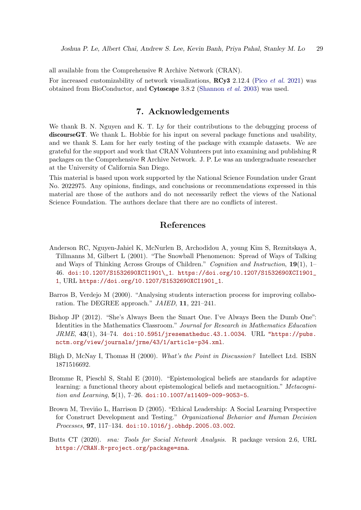all available from the Comprehensive R Archive Network (CRAN).

For increased customizability of network visualizations,  $RCy3$  2.12.4 (Pico *[et al.](#page-31-9)* [2021\)](#page-31-9) was obtained from BioConductor, and Cytoscape 3.8.2 [\(Shannon](#page-32-10) et al. [2003\)](#page-32-10) was used.

## 7. Acknowledgements

We thank B. N. Nguyen and K. T. Ly for their contributions to the debugging process of discourseGT. We thank L. Hobbie for his input on several package functions and usability, and we thank S. Lam for her early testing of the package with example datasets. We are grateful for the support and work that CRAN Volunteers put into examining and publishing R packages on the Comprehensive R Archive Network. J. P. Le was an undergraduate researcher at the University of California San Diego.

This material is based upon work supported by the National Science Foundation under Grant No. 2022975. Any opinions, findings, and conclusions or recommendations expressed in this material are those of the authors and do not necessarily reflect the views of the National Science Foundation. The authors declare that there are no conflicts of interest.

### References

- <span id="page-28-2"></span>Anderson RC, Nguyen-Jahiel K, McNurlen B, Archodidou A, young Kim S, Reznitskaya A, Tillmanns M, Gilbert L (2001). "The Snowball Phenomenon: Spread of Ways of Talking and Ways of Thinking Across Groups of Children." Cognition and Instruction, 19(1), 1– 46. [doi:10.1207/S1532690XCI1901\\\_1](http://dx.doi.org/10.1207/S1532690XCI1901_1). [https://doi.org/10.1207/S1532690XCI1901\\_](https://doi.org/10.1207/S1532690XCI1901_1) [1](https://doi.org/10.1207/S1532690XCI1901_1), URL [https://doi.org/10.1207/S1532690XCI1901\\_1](https://doi.org/10.1207/S1532690XCI1901_1).
- <span id="page-28-6"></span>Barros B, Verdejo M (2000). "Analysing students interaction process for improving collaboration. The DEGREE approach." JAIED, 11, 221–241.
- <span id="page-28-4"></span>Bishop JP (2012). "She's Always Been the Smart One. I've Always Been the Dumb One": Identities in the Mathematics Classroom." Journal for Research in Mathematics Education  $JRME$ , 43(1), 34-74. [doi:10.5951/jresematheduc.43.1.0034](http://dx.doi.org/10.5951/jresematheduc.43.1.0034). URL ["https://pubs.]("https://pubs.nctm.org/view/journals/jrme/43/1/article-p34.xml) [nctm.org/view/journals/jrme/43/1/article-p34.xml]("https://pubs.nctm.org/view/journals/jrme/43/1/article-p34.xml).
- <span id="page-28-0"></span>Bligh D, McNay I, Thomas H (2000). What's the Point in Discussion? Intellect Ltd. ISBN 1871516692.
- <span id="page-28-1"></span>Bromme R, Pieschl S, Stahl E (2010). "Epistemological beliefs are standards for adaptive learning: a functional theory about epistemological beliefs and metacognition." Metacognition and Learning,  $5(1)$ ,  $7-26$ . [doi:10.1007/s11409-009-9053-5](http://dx.doi.org/10.1007/s11409-009-9053-5).
- <span id="page-28-3"></span>Brown M, Treviño L, Harrison D (2005). "Ethical Leadership: A Social Learning Perspective for Construct Development and Testing." Organizational Behavior and Human Decision Processes, 97, 117–134. [doi:10.1016/j.obhdp.2005.03.002](http://dx.doi.org/10.1016/j.obhdp.2005.03.002).
- <span id="page-28-5"></span>Butts CT (2020). sna: Tools for Social Network Analysis. R package version 2.6, URL <https://CRAN.R-project.org/package=sna>.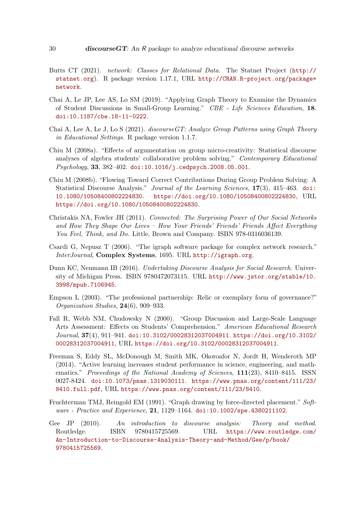- <span id="page-29-9"></span>Butts CT (2021). network: Classes for Relational Data. The Statnet Project ([http://](http://statnet.org) [statnet.org](http://statnet.org)). R package version 1.17.1, URL [http://CRAN.R-project.org/package=](http://CRAN.R-project.org/package=network) [network](http://CRAN.R-project.org/package=network).
- <span id="page-29-7"></span>Chai A, Le JP, Lee AS, Lo SM (2019). "Applying Graph Theory to Examine the Dynamics of Student Discussions in Small-Group Learning." CBE - Life Sciences Education, 18. [doi:10.1187/cbe.18-11-0222](http://dx.doi.org/10.1187/cbe.18-11-0222).
- <span id="page-29-11"></span>Chai A, Lee A, Le J, Lo S (2021). discourse GT: Analyze Group Patterns using Graph Theory in Educational Settings. R package version 1.1.7.
- <span id="page-29-4"></span>Chiu M (2008a). "Effects of argumentation on group micro-creativity: Statistical discourse analyses of algebra students' collaborative problem solving." Contemporary Educational Psychology, 33, 382–402. [doi:10.1016/j.cedpsych.2008.05.001](http://dx.doi.org/10.1016/j.cedpsych.2008.05.001).
- <span id="page-29-5"></span>Chiu M (2008b). "Flowing Toward Correct Contributions During Group Problem Solving: A Statistical Discourse Analysis." Journal of the Learning Sciences, 17(3), 415–463. [doi:](http://dx.doi.org/10.1080/10508400802224830) [10.1080/10508400802224830](http://dx.doi.org/10.1080/10508400802224830). <https://doi.org/10.1080/10508400802224830>, URL <https://doi.org/10.1080/10508400802224830>.
- <span id="page-29-10"></span>Christakis NA, Fowler JH (2011). Connected: The Surprising Power of Our Social Networks and How They Shape Our Lives – How Your Friends' Friends' Friends Affect Everything You Feel, Think, and Do. Little, Brown and Company. ISBN 978-0316036139.
- <span id="page-29-8"></span>Csardi G, Nepusz T (2006). "The igraph software package for complex network research." InterJournal, Complex Systems, 1695. URL <http://igraph.org>.
- <span id="page-29-2"></span>Dunn KC, Neumann IB (2016). Undertaking Discourse Analysis for Social Research. University of Michigan Press. ISBN 9780472073115. URL [http://www.jstor.org/stable/10.](http://www.jstor.org/stable/10.3998/mpub.7106945) [3998/mpub.7106945](http://www.jstor.org/stable/10.3998/mpub.7106945).
- <span id="page-29-6"></span>Empson L (2003). "The professional partnership: Relic or exemplary form of governance?" Organization Studies, 24(6), 909–933.
- <span id="page-29-3"></span>Fall R, Webb NM, Chudowsky N (2000). "Group Discussion and Large-Scale Language Arts Assessment: Effects on Students' Comprehension." American Educational Research Journal, 37(4), 911–941. [doi:10.3102/00028312037004911](http://dx.doi.org/10.3102/00028312037004911). [https://doi.org/10.3102/](https://doi.org/10.3102/00028312037004911) [00028312037004911](https://doi.org/10.3102/00028312037004911), URL <https://doi.org/10.3102/00028312037004911>.
- <span id="page-29-0"></span>Freeman S, Eddy SL, McDonough M, Smith MK, Okoroafor N, Jordt H, Wenderoth MP (2014). "Active learning increases student performance in science, engineering, and mathematics." Proceedings of the National Academy of Sciences, 111(23), 8410–8415. ISSN 0027-8424. [doi:10.1073/pnas.1319030111](http://dx.doi.org/10.1073/pnas.1319030111). [https://www.pnas.org/content/111/23/](https://www.pnas.org/content/111/23/8410.full.pdf) [8410.full.pdf](https://www.pnas.org/content/111/23/8410.full.pdf), URL <https://www.pnas.org/content/111/23/8410>.
- <span id="page-29-12"></span>Fruchterman TMJ, Reingold EM (1991). "Graph drawing by force-directed placement." Software - Practice and Experience, 21, 1129-1164. [doi:10.1002/spe.4380211102](http://dx.doi.org/10.1002/spe.4380211102).
- <span id="page-29-1"></span>Gee JP (2010). An introduction to discourse analysis: Theory and method. Routledge. ISBN 9780415725569. URL [https://www.routledge.com/](https://www.routledge.com/An-Introduction-to-Discourse-Analysis-Theory-and-Method/Gee/p/book/9780415725569) [An-Introduction-to-Discourse-Analysis-Theory-and-Method/Gee/p/book/](https://www.routledge.com/An-Introduction-to-Discourse-Analysis-Theory-and-Method/Gee/p/book/9780415725569) [9780415725569](https://www.routledge.com/An-Introduction-to-Discourse-Analysis-Theory-and-Method/Gee/p/book/9780415725569).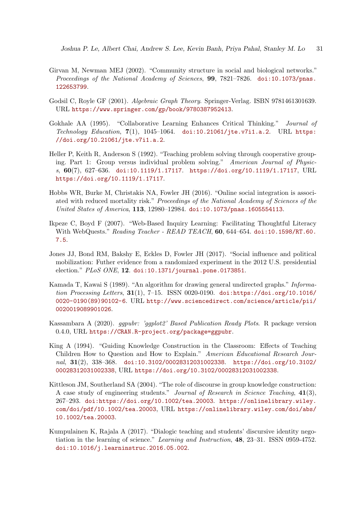- <span id="page-30-10"></span>Girvan M, Newman MEJ (2002). "Community structure in social and biological networks." Proceedings of the National Academy of Sciences, 99, 7821-7826. [doi:10.1073/pnas.](http://dx.doi.org/10.1073/pnas.122653799) [122653799](http://dx.doi.org/10.1073/pnas.122653799).
- <span id="page-30-9"></span>Godsil C, Royle GF (2001). Algebraic Graph Theory. Springer-Verlag. ISBN 9781461301639. URL <https://www.springer.com/gp/book/9780387952413>.
- <span id="page-30-1"></span>Gokhale AA (1995). "Collaborative Learning Enhances Critical Thinking." *Journal of* Technology Education, 7(1), 1045–1064. [doi:10.21061/jte.v7i1.a.2](http://dx.doi.org/10.21061/jte.v7i1.a.2). URL [https:](https://doi.org/10.21061/jte.v7i1.a.2) [//doi.org/10.21061/jte.v7i1.a.2](https://doi.org/10.21061/jte.v7i1.a.2).
- <span id="page-30-0"></span>Heller P, Keith R, Anderson S (1992). "Teaching problem solving through cooperative grouping. Part 1: Group versus individual problem solving." American Journal of Physics, 60(7), 627–636. [doi:10.1119/1.17117](http://dx.doi.org/10.1119/1.17117). <https://doi.org/10.1119/1.17117>, URL <https://doi.org/10.1119/1.17117>.
- <span id="page-30-7"></span>Hobbs WR, Burke M, Christakis NA, Fowler JH (2016). "Online social integration is associated with reduced mortality risk." Proceedings of the National Academy of Sciences of the United States of America, 113, 12980–12984. [doi:10.1073/pnas.1605554113](http://dx.doi.org/10.1073/pnas.1605554113).
- <span id="page-30-4"></span>Ikpeze C, Boyd F (2007). "Web-Based Inquiry Learning: Facilitating Thoughtful Literacy With WebQuests." Reading Teacher - READ TEACH, 60, 644-654. [doi:10.1598/RT.60.](http://dx.doi.org/10.1598/RT.60.7.5) [7.5](http://dx.doi.org/10.1598/RT.60.7.5).
- <span id="page-30-6"></span>Jones JJ, Bond RM, Bakshy E, Eckles D, Fowler JH (2017). "Social influence and political mobilization: Futher evidence from a randomized experiment in the 2012 U.S. presidential election." PLoS ONE, 12. [doi:10.1371/journal.pone.0173851](http://dx.doi.org/10.1371/journal.pone.0173851).
- <span id="page-30-11"></span>Kamada T, Kawai S (1989). "An algorithm for drawing general undirected graphs." Information Processing Letters, 31(1), 7–15. ISSN 0020-0190. [doi:https://doi.org/10.1016/](http://dx.doi.org/https://doi.org/10.1016/0020-0190(89)90102-6) [0020-0190\(89\)90102-6](http://dx.doi.org/https://doi.org/10.1016/0020-0190(89)90102-6). URL [http://www.sciencedirect.com/science/article/pii/](http://www.sciencedirect.com/science/article/pii/0020019089901026) [0020019089901026](http://www.sciencedirect.com/science/article/pii/0020019089901026).
- <span id="page-30-8"></span>Kassambara A (2020). ggpubr: 'ggplot2' Based Publication Ready Plots. R package version 0.4.0, URL <https://CRAN.R-project.org/package=ggpubr>.
- <span id="page-30-2"></span>King A (1994). "Guiding Knowledge Construction in the Classroom: Effects of Teaching Children How to Question and How to Explain." American Educational Research Journal, 31(2), 338–368. [doi:10.3102/00028312031002338](http://dx.doi.org/10.3102/00028312031002338). [https://doi.org/10.3102/](https://doi.org/10.3102/00028312031002338) [00028312031002338](https://doi.org/10.3102/00028312031002338), URL <https://doi.org/10.3102/00028312031002338>.
- <span id="page-30-3"></span>Kittleson JM, Southerland SA (2004). "The role of discourse in group knowledge construction: A case study of engineering students." Journal of Research in Science Teaching, 41(3), 267–293. [doi:https://doi.org/10.1002/tea.20003](http://dx.doi.org/https://doi.org/10.1002/tea.20003). [https://onlinelibrary.wiley.](https://onlinelibrary.wiley.com/doi/pdf/10.1002/tea.20003) [com/doi/pdf/10.1002/tea.20003](https://onlinelibrary.wiley.com/doi/pdf/10.1002/tea.20003), URL [https://onlinelibrary.wiley.com/doi/abs/](https://onlinelibrary.wiley.com/doi/abs/10.1002/tea.20003) [10.1002/tea.20003](https://onlinelibrary.wiley.com/doi/abs/10.1002/tea.20003).
- <span id="page-30-5"></span>Kumpulainen K, Rajala A (2017). "Dialogic teaching and students' discursive identity negotiation in the learning of science." Learning and Instruction, 48, 23–31. ISSN 0959-4752. [doi:10.1016/j.learninstruc.2016.05.002](http://dx.doi.org/10.1016/j.learninstruc.2016.05.002).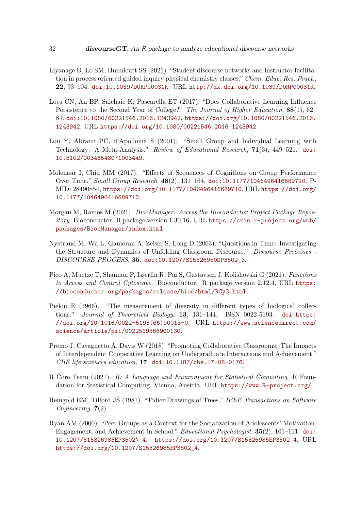- <span id="page-31-5"></span>Liyanage D, Lo SM, Hunnicutt SS (2021). "Student discourse networks and instructor facilitation in process oriented guided inquiry physical chemistry classes." Chem. Educ. Res. Pract., 22, 93–104. [doi:10.1039/D0RP00031K](http://dx.doi.org/10.1039/D0RP00031K). URL <http://dx.doi.org/10.1039/D0RP00031K>.
- <span id="page-31-1"></span>Loes CN, An BP, Saichaie K, Pascarella ET (2017). "Does Collaborative Learning Influence Persistence to the Second Year of College?" The Journal of Higher Education, 88(1), 62– 84. [doi:10.1080/00221546.2016.1243942](http://dx.doi.org/10.1080/00221546.2016.1243942). [https://doi.org/10.1080/00221546.2016.](https://doi.org/10.1080/00221546.2016.1243942) [1243942](https://doi.org/10.1080/00221546.2016.1243942), URL <https://doi.org/10.1080/00221546.2016.1243942>.
- <span id="page-31-6"></span>Lou Y, Abrami PC, d'Apollonia S (2001). "Small Group and Individual Learning with Technology: A Meta-Analysis." Review of Educational Research, 71(3), 449–521. [doi:](http://dx.doi.org/10.3102/00346543071003449) [10.3102/00346543071003449](http://dx.doi.org/10.3102/00346543071003449).
- <span id="page-31-2"></span>Molenaar I, Chiu MM (2017). "Effects of Sequences of Cognitions on Group Performance Over Time." Small Group Research, 48(2), 131–164. [doi:10.1177/1046496416689710](http://dx.doi.org/10.1177/1046496416689710). P-MID: 28490854, <https://doi.org/10.1177/1046496416689710>, URL [https://doi.org/](https://doi.org/10.1177/1046496416689710) [10.1177/1046496416689710](https://doi.org/10.1177/1046496416689710).
- <span id="page-31-8"></span>Morgan M, Ramos M (2021). BiocManager: Access the Bioconductor Project Package Repository. Bioconductor. R package version 1.30.16, URL [https://cran.r-project.org/web/](https://cran.r-project.org/web/packages/BiocManager/index.html) [packages/BiocManager/index.html](https://cran.r-project.org/web/packages/BiocManager/index.html).
- <span id="page-31-4"></span>Nystrand M, Wu L, Gamoran A, Zeiser S, Long D (2003). "Questions in Time: Investigating the Structure and Dynamics of Unfolding Classroom Discourse." Discourse Processes - DISCOURSE PROCESS, 35. [doi:10.1207/S15326950DP3502\\_3](http://dx.doi.org/10.1207/S15326950DP3502_3).
- <span id="page-31-9"></span>Pico A, Muetze T, Shannon P, Isserlin R, Pai S, Gustavsen J, Kolishovski G (2021). Functions to Access and Control Cytoscape. Bioconductor. R package version 2.12.4, URL [https:](https://bioconductor.org/packages/release/bioc/html/RCy3.html) [//bioconductor.org/packages/release/bioc/html/RCy3.html](https://bioconductor.org/packages/release/bioc/html/RCy3.html).
- <span id="page-31-10"></span>Pielou E (1966). "The measurement of diversity in different types of biological collections." Journal of Theoretical Biology, 13, 131-144. ISSN 0022-5193. [doi:https:](http://dx.doi.org/https://doi.org/10.1016/0022-5193(66)90013-0) [//doi.org/10.1016/0022-5193\(66\)90013-0](http://dx.doi.org/https://doi.org/10.1016/0022-5193(66)90013-0). URL [https://www.sciencedirect.com/](https://www.sciencedirect.com/science/article/pii/0022519366900130) [science/article/pii/0022519366900130](https://www.sciencedirect.com/science/article/pii/0022519366900130).
- <span id="page-31-3"></span>Premo J, Cavagnetto A, Davis W (2018). "Promoting Collaborative Classrooms: The Impacts of Interdependent Cooperative Learning on Undergraduate Interactions and Achievement." CBE life sciences education, 17. [doi:10.1187/cbe.17-08-0176](http://dx.doi.org/10.1187/cbe.17-08-0176).
- <span id="page-31-7"></span>R Core Team (2021). R: A Language and Environment for Statistical Computing. R Foundation for Statistical Computing, Vienna, Austria. URL <https://www.R-project.org/>.
- <span id="page-31-11"></span>Reingold EM, Tilford JS (1981). "Tidier Drawings of Trees." IEEE Transactions on Software Engineering, 7(2).
- <span id="page-31-0"></span>Ryan AM (2000). "Peer Groups as a Context for the Socialization of Adolescents' Motivation, Engagement, and Achievement in School." Educational Psychologist, 35(2), 101–111. [doi:](http://dx.doi.org/10.1207/S15326985EP3502_4) [10.1207/S15326985EP3502\\\_4](http://dx.doi.org/10.1207/S15326985EP3502_4). [https://doi.org/10.1207/S15326985EP3502\\_4](https://doi.org/10.1207/S15326985EP3502_4), URL [https://doi.org/10.1207/S15326985EP3502\\_4](https://doi.org/10.1207/S15326985EP3502_4).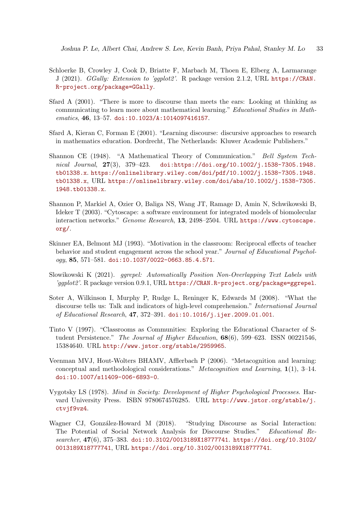- <span id="page-32-8"></span>Schloerke B, Crowley J, Cook D, Briatte F, Marbach M, Thoen E, Elberg A, Larmarange J (2021). GGally: Extension to 'ggplot2'. R package version 2.1.2, URL [https://CRAN.](https://CRAN.R-project.org/package=GGally) [R-project.org/package=GGally](https://CRAN.R-project.org/package=GGally).
- <span id="page-32-4"></span>Sfard A (2001). "There is more to discourse than meets the ears: Looking at thinking as communicating to learn more about mathematical learning." Educational Studies in Mathematics, 46, 13–57. [doi:10.1023/A:1014097416157](http://dx.doi.org/10.1023/A:1014097416157).
- <span id="page-32-6"></span>Sfard A, Kieran C, Forman E (2001). "Learning discourse: discursive approaches to research in mathematics education. Dordrecht, The Netherlands: Kluwer Academic Publishers."
- <span id="page-32-11"></span>Shannon CE (1948). "A Mathematical Theory of Communication." Bell System Tech $nical$  Journal,  $27(3)$ ,  $379-423$ . [doi:https://doi.org/10.1002/j.1538-7305.1948.](http://dx.doi.org/https://doi.org/10.1002/j.1538-7305.1948.tb01338.x) [tb01338.x](http://dx.doi.org/https://doi.org/10.1002/j.1538-7305.1948.tb01338.x). [https://onlinelibrary.wiley.com/doi/pdf/10.1002/j.1538-7305.1948.](https://onlinelibrary.wiley.com/doi/pdf/10.1002/j.1538-7305.1948.tb01338.x) [tb01338.x](https://onlinelibrary.wiley.com/doi/pdf/10.1002/j.1538-7305.1948.tb01338.x), URL [https://onlinelibrary.wiley.com/doi/abs/10.1002/j.1538-7305.](https://onlinelibrary.wiley.com/doi/abs/10.1002/j.1538-7305.1948.tb01338.x) [1948.tb01338.x](https://onlinelibrary.wiley.com/doi/abs/10.1002/j.1538-7305.1948.tb01338.x).
- <span id="page-32-10"></span>Shannon P, Markiel A, Ozier O, Baliga NS, Wang JT, Ramage D, Amin N, Schwikowski B, Ideker T (2003). "Cytoscape: a software environment for integrated models of biomolecular interaction networks." Genome Research, 13, 2498–2504. URL [https://www.cytoscape.](https://www.cytoscape.org/) [org/](https://www.cytoscape.org/).
- <span id="page-32-2"></span>Skinner EA, Belmont MJ (1993). "Motivation in the classroom: Reciprocal effects of teacher behavior and student engagement across the school year." Journal of Educational Psychol $ogy, 85, 571-581.$  [doi:10.1037/0022-0663.85.4.571](http://dx.doi.org/10.1037/0022-0663.85.4.571).
- <span id="page-32-9"></span>Slowikowski K (2021). ggrepel: Automatically Position Non-Overlapping Text Labels with 'ggplot2'. R package version 0.9.1, URL <https://CRAN.R-project.org/package=ggrepel>.
- <span id="page-32-5"></span>Soter A, Wilkinson I, Murphy P, Rudge L, Reninger K, Edwards M (2008). "What the discourse tells us: Talk and indicators of high-level comprehension." International Journal of Educational Research, 47, 372–391. [doi:10.1016/j.ijer.2009.01.001](http://dx.doi.org/10.1016/j.ijer.2009.01.001).
- <span id="page-32-3"></span>Tinto V (1997). "Classrooms as Communities: Exploring the Educational Character of Student Persistence." The Journal of Higher Education, 68(6), 599–623. ISSN 00221546, 15384640. URL <http://www.jstor.org/stable/2959965>.
- <span id="page-32-1"></span>Veenman MVJ, Hout-Wolters BHAMV, Afflerbach P (2006). "Metacognition and learning: conceptual and methodological considerations." Metacognition and Learning, 1(1), 3–14. [doi:10.1007/s11409-006-6893-0](http://dx.doi.org/10.1007/s11409-006-6893-0).
- <span id="page-32-0"></span>Vygotsky LS (1978). Mind in Society: Development of Higher Psychological Processes. Harvard University Press. ISBN 9780674576285. URL [http://www.jstor.org/stable/j.](http://www.jstor.org/stable/j.ctvjf9vz4) [ctvjf9vz4](http://www.jstor.org/stable/j.ctvjf9vz4).
- <span id="page-32-7"></span>Wagner CJ, González-Howard M (2018). "Studying Discourse as Social Interaction: The Potential of Social Network Analysis for Discourse Studies." Educational Researcher, 47(6), 375–383. [doi:10.3102/0013189X18777741](http://dx.doi.org/10.3102/0013189X18777741). [https://doi.org/10.3102/](https://doi.org/10.3102/0013189X18777741) [0013189X18777741](https://doi.org/10.3102/0013189X18777741), URL <https://doi.org/10.3102/0013189X18777741>.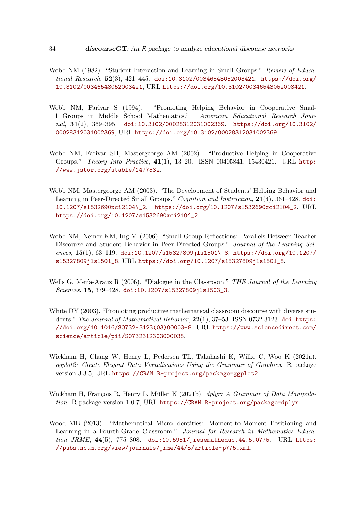- <span id="page-33-0"></span>Webb NM (1982). "Student Interaction and Learning in Small Groups." Review of Educational Research, 52(3), 421-445. [doi:10.3102/00346543052003421](http://dx.doi.org/10.3102/00346543052003421). [https://doi.org/](https://doi.org/10.3102/00346543052003421) [10.3102/00346543052003421](https://doi.org/10.3102/00346543052003421), URL <https://doi.org/10.3102/00346543052003421>.
- <span id="page-33-1"></span>Webb NM, Farivar S (1994). "Promoting Helping Behavior in Cooperative Small Groups in Middle School Mathematics." American Educational Research Journal, 31(2), 369–395. [doi:10.3102/00028312031002369](http://dx.doi.org/10.3102/00028312031002369). [https://doi.org/10.3102/](https://doi.org/10.3102/00028312031002369) [00028312031002369](https://doi.org/10.3102/00028312031002369), URL <https://doi.org/10.3102/00028312031002369>.
- <span id="page-33-4"></span>Webb NM, Farivar SH, Mastergeorge AM (2002). "Productive Helping in Cooperative Groups." Theory Into Practice, 41(1), 13–20. ISSN 00405841, 15430421. URL [http:](http://www.jstor.org/stable/1477532) [//www.jstor.org/stable/1477532](http://www.jstor.org/stable/1477532).
- <span id="page-33-2"></span>Webb NM, Mastergeorge AM (2003). "The Development of Students' Helping Behavior and Learning in Peer-Directed Small Groups." Cognition and Instruction, 21(4), 361–428. [doi:](http://dx.doi.org/10.1207/s1532690xci2104_2) [10.1207/s1532690xci2104\\\_2](http://dx.doi.org/10.1207/s1532690xci2104_2). [https://doi.org/10.1207/s1532690xci2104\\_2](https://doi.org/10.1207/s1532690xci2104_2), URL [https://doi.org/10.1207/s1532690xci2104\\_2](https://doi.org/10.1207/s1532690xci2104_2).
- <span id="page-33-3"></span>Webb NM, Nemer KM, Ing M (2006). "Small-Group Reflections: Parallels Between Teacher Discourse and Student Behavior in Peer-Directed Groups." Journal of the Learning Sciences, 15(1), 63–119. [doi:10.1207/s15327809jls1501\\\_8](http://dx.doi.org/10.1207/s15327809jls1501_8). [https://doi.org/10.1207/](https://doi.org/10.1207/s15327809jls1501_8) [s15327809jls1501\\_8](https://doi.org/10.1207/s15327809jls1501_8), URL [https://doi.org/10.1207/s15327809jls1501\\_8](https://doi.org/10.1207/s15327809jls1501_8).
- <span id="page-33-5"></span>Wells G, Mejía-Arauz R (2006). "Dialogue in the Classroom." THE Journal of the Learning Sciences, 15, 379–428. [doi:10.1207/s15327809jls1503\\_3](http://dx.doi.org/10.1207/s15327809jls1503_3).
- <span id="page-33-6"></span>White DY (2003). "Promoting productive mathematical classroom discourse with diverse students." The Journal of Mathematical Behavior, 22(1), 37-53. ISSN 0732-3123. [doi:https:](http://dx.doi.org/https://doi.org/10.1016/S0732-3123(03)00003-8) [//doi.org/10.1016/S0732-3123\(03\)00003-8](http://dx.doi.org/https://doi.org/10.1016/S0732-3123(03)00003-8). URL [https://www.sciencedirect.com/](https://www.sciencedirect.com/science/article/pii/S0732312303000038) [science/article/pii/S0732312303000038](https://www.sciencedirect.com/science/article/pii/S0732312303000038).
- <span id="page-33-8"></span>Wickham H, Chang W, Henry L, Pedersen TL, Takahashi K, Wilke C, Woo K (2021a). ggplot2: Create Elegant Data Visualisations Using the Grammar of Graphics. R package version 3.3.5, URL <https://CRAN.R-project.org/package=ggplot2>.
- <span id="page-33-9"></span>Wickham H, François R, Henry L, Müller K (2021b). *dplyr: A Grammar of Data Manipula*tion. R package version 1.0.7, URL <https://CRAN.R-project.org/package=dplyr>.
- <span id="page-33-7"></span>Wood MB (2013). "Mathematical Micro-Identities: Moment-to-Moment Positioning and Learning in a Fourth-Grade Classroom." Journal for Research in Mathematics Education  $JRME$ ,  $44(5)$ ,  $775-808$ . [doi:10.5951/jresematheduc.44.5.0775](http://dx.doi.org/10.5951/jresematheduc.44.5.0775). URL [https:](https://pubs.nctm.org/view/journals/jrme/44/5/article-p775.xml) [//pubs.nctm.org/view/journals/jrme/44/5/article-p775.xml](https://pubs.nctm.org/view/journals/jrme/44/5/article-p775.xml).